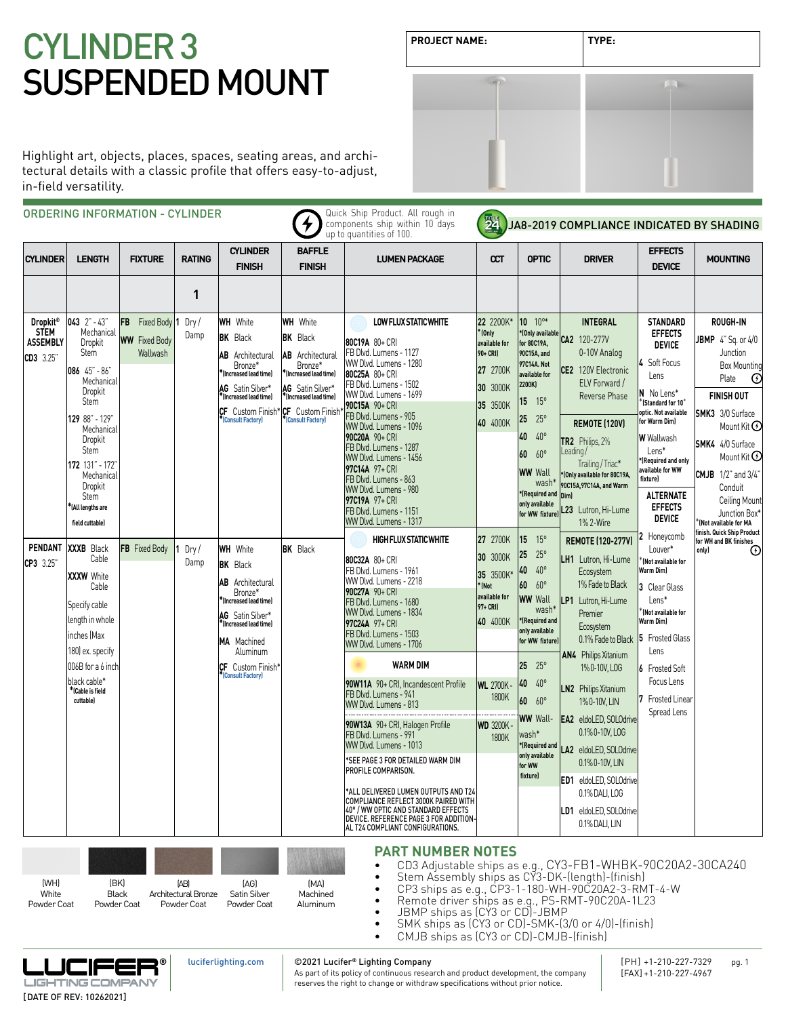# **PROJECT NAME: TYPE:** CYLINDER 3 SUSPENDED MOUNT

| <b>PROJECT NAME:</b> | TYPE: |  |
|----------------------|-------|--|
|                      |       |  |
|                      |       |  |
|                      |       |  |
|                      |       |  |

Highlight art, objects, places, spaces, seating areas, and architectural details with a classic profile that offers easy-to-adjust, in-field versatility.

| <b>CYLINDER</b>                             | <b>LENGTH</b>                                                                                                                                                                                                     | <b>FIXTURE</b>                   | <b>RATING</b> | <b>CYLINDER</b><br><b>FINISH</b>                                                                                                                                                           | <b>BAFFLE</b><br><b>FINISH</b>                                                                                                                                                     | <b>LUMEN PACKAGE</b>                                                                                                                                                                                                                                                                                                                                                                                | œт                                                                                  | <b>OPTIC</b>                                                                                                                                                                                                                                                 | <b>DRIVER</b>                                                                                                                                                                                                                                | <b>EFFECTS</b><br><b>DEVICE</b>                                                                                                                                                                                                                                                      | <b>MOUNTING</b>                                                                                                                                                                                                                                               |  |  |  |  |  |  |  |  |  |  |  |  |  |  |  |  |  |  |  |  |  |  |  |  |                                                                                                           |                          |                                                    |                                                              |                                                                 |  |
|---------------------------------------------|-------------------------------------------------------------------------------------------------------------------------------------------------------------------------------------------------------------------|----------------------------------|---------------|--------------------------------------------------------------------------------------------------------------------------------------------------------------------------------------------|------------------------------------------------------------------------------------------------------------------------------------------------------------------------------------|-----------------------------------------------------------------------------------------------------------------------------------------------------------------------------------------------------------------------------------------------------------------------------------------------------------------------------------------------------------------------------------------------------|-------------------------------------------------------------------------------------|--------------------------------------------------------------------------------------------------------------------------------------------------------------------------------------------------------------------------------------------------------------|----------------------------------------------------------------------------------------------------------------------------------------------------------------------------------------------------------------------------------------------|--------------------------------------------------------------------------------------------------------------------------------------------------------------------------------------------------------------------------------------------------------------------------------------|---------------------------------------------------------------------------------------------------------------------------------------------------------------------------------------------------------------------------------------------------------------|--|--|--|--|--|--|--|--|--|--|--|--|--|--|--|--|--|--|--|--|--|--|--|--|-----------------------------------------------------------------------------------------------------------|--------------------------|----------------------------------------------------|--------------------------------------------------------------|-----------------------------------------------------------------|--|
| Dropkit <sup>®</sup>                        | $043$ $2" - 43"$                                                                                                                                                                                                  | FB Fixed Body 1                  | 1<br>Dry/     | <b>WH</b> White                                                                                                                                                                            | <b>WH</b> White                                                                                                                                                                    | LOW FLUX STATIC WHITE                                                                                                                                                                                                                                                                                                                                                                               | 22 2200K*                                                                           | $10^{10*}$                                                                                                                                                                                                                                                   | <b>INTEGRAL</b>                                                                                                                                                                                                                              | <b>STANDARD</b>                                                                                                                                                                                                                                                                      | <b>ROUGH-IN</b>                                                                                                                                                                                                                                               |  |  |  |  |  |  |  |  |  |  |  |  |  |  |  |  |  |  |  |  |  |  |  |  |                                                                                                           |                          |                                                    |                                                              |                                                                 |  |
| <b>STEM</b><br><b>ASSEMBLY</b><br>CD3 3.25" | Mechanical<br>Dropkit<br><b>Stem</b><br>086 45" - 86"<br>Mechanical<br>Dropkit<br>Stem<br>129 88" - 129"<br>Mechanical<br>Dropkit<br>Stem<br>172 131" - 172"<br>Mechanical<br>Dropkit<br>Stem<br>KAll lengths are | <b>WW</b> Fixed Body<br>Wallwash | Damp          | <b>BK</b> Black<br><b>AB</b> Architectural<br>Bronze*<br>*(Increased lead time)<br>AG Satin Silver*<br>*(Increased lead time)<br><b>CF</b> Custom Finish <sup>*</sup><br>(Consult Factory) | <b>BK</b> Black<br><b>AB</b> Architectural<br>Bronze*<br><sup>*</sup> [Increased lead time]<br>AG Satin Silver*<br>*(Increased lead time)<br>CF Custom Finish<br>(Consult Factory) | 80C19A 80+ CRI<br>FB Dlvd. Lumens - 1127<br>WW Dlvd. Lumens - 1280<br>80C25A 80+ CRI<br>FB Dlvd. Lumens - 1502<br>WW Dlvd. Lumens - 1699<br>90C15A 90+ CRI<br>FB Dlvd. Lumens - 905<br>WW Dlvd. Lumens - 1096<br>90C20A 90+ CRI<br>FB Dlvd. Lumens - 1287<br>WW Dlvd. Lumens - 1456<br>97C14A 97+ CRI<br>FB Dlvd. Lumens - 863<br>WW Dlvd. Lumens - 980<br>97C19A 97+ CRI<br>FB Dlvd. Lumens - 1151 | '(Only<br>available for<br>90+ CRI)<br>27 2700K<br>30 3000K<br>35 3500K<br>40 4000K | *(Only available<br>for 80C19A,<br>90C15A, and<br>97C14A. Not<br>available for<br>2200K)<br>15 <sub>1</sub><br>$15^{\circ}$<br>25<br>$25^{\circ}$<br>$40^{\circ}$<br>40<br>$60^{\circ}$<br>60<br><b>WW Wall</b><br>wash*<br>*(Required and<br>only available | CA2 120-277V<br>0-10V Analog<br>CE2 120V Electronic<br>ELV Forward /<br>Reverse Phase<br><b>REMOTE (120V)</b><br><b>TR2</b> Philips, 2%<br>Leading/<br>Trailing / Triac*<br>*(Only available for 80C19A,<br>90C15A, 97C14A, and Warm<br>Dim) | <b>EFFECTS</b><br><b>DEVICE</b><br>4 Soft Focus<br>Lens<br>N No Lens*<br>$^*$ (Standard for 10 $^{\circ}$<br>optic. Not available<br>for Warm Dim)<br><b>W</b> Wallwash<br>Lens*<br>*(Required and only<br>available for WW<br><i>fixture]</i><br><b>ALTERNATE</b><br><b>EFFECTS</b> | <b>JBMP</b> $4"$ Sq. or $4/0$<br>Junction<br>Box Mounting<br>$\odot$<br>Plate<br><b>FINISH OUT</b><br><b>SMK3</b> 3/0 Surface<br>Mount Kit $\Theta$<br><b>SMK4</b> 4/0 Surface<br>Mount Kit $\Theta$<br><b>CMJB</b> 1/2" and 3/4"<br>Conduit<br>Ceiling Mount |  |  |  |  |  |  |  |  |  |  |  |  |  |  |  |  |  |  |  |  |  |  |  |  |                                                                                                           |                          |                                                    |                                                              |                                                                 |  |
| PENDANT<br>CP3 3.25                         | field cuttable)<br><b>XXXB</b> Black<br>Cable<br><b>XXXW</b> White<br>Cable<br>Specify cable<br>length in whole<br>inches (Max                                                                                    | FB Fixed Body                    | Dry/<br>Damp  | <b>WH</b> White<br><b>BK</b> Black<br><b>AB</b> Architectural<br>Bronze*<br>*(Increased lead time)<br>AG Satin Silver*<br>*(Increased lead time)<br>MA Machined                            | <b>BK</b> Black                                                                                                                                                                    | WW Dlvd. Lumens - 1317<br><b>HIGH FLUX STATIC WHITE</b><br>80C32A 80+ CRI<br>FB Dlvd. Lumens - 1961<br>WW Dlvd. Lumens - 2218<br>90C27A 90+ CRI<br>FB Dlvd. Lumens - 1680<br>WW Dlvd. Lumens - 1834<br>97C24A 97+ CRI<br>FB Dlvd. Lumens - 1503<br>WW Dlvd. Lumens - 1706                                                                                                                           | 27 2700K<br>30 3000K<br>35 3500K*<br>'(Not<br>available for<br>97+ CRI)<br>40 4000K | for WW fixture)<br>15<br>$15^{\circ}$<br>25<br>$25^{\circ}$<br>$40^{\circ}$<br>40<br>$60^{\circ}$<br>60<br><b>WW Wall</b><br>wash*<br>*(Required and<br>only available<br>for WW fixture)                                                                    | L23 Lutron, Hi-Lume<br>1% 2-Wire<br>REMOTE (120-277V)<br>LH1 Lutron, Hi-Lume<br>Ecosystem<br>1% Fade to Black<br>LP1 Lutron, Hi-Lume<br>Premier<br>Ecosystem<br>0.1% Fade to Black                                                           | <b>DEVICE</b><br>2 Honevcomb<br>Louver*<br>(Not available for<br>Warm Dim)<br>3 Clear Glass<br>Lens*<br>(Not available for<br>Warm Diml<br>5 Frosted Glass                                                                                                                           | Junction Box*<br>Not available for MA<br>finish. Quick Ship Product<br>for WH and BK finishes<br>⊕<br>only)                                                                                                                                                   |  |  |  |  |  |  |  |  |  |  |  |  |  |  |  |  |  |  |  |  |  |  |  |  |                                                                                                           |                          |                                                    |                                                              |                                                                 |  |
|                                             | 006B for a 6 inch<br>black cable*<br>*(Cable is field<br>cuttable)                                                                                                                                                |                                  |               | CF Custom Finish*<br>(Consult Factory)                                                                                                                                                     |                                                                                                                                                                                    |                                                                                                                                                                                                                                                                                                                                                                                                     |                                                                                     |                                                                                                                                                                                                                                                              |                                                                                                                                                                                                                                              |                                                                                                                                                                                                                                                                                      |                                                                                                                                                                                                                                                               |  |  |  |  |  |  |  |  |  |  |  |  |  |  |  |  |  |  |  |  |  |  |  |  | <b>WARM DIM</b><br>90W11A 90+ CRI, Incandescent Profile<br>FB Dlvd. Lumens - 941<br>WW Dlvd. Lumens - 813 | <b>WL 2700K</b><br>1800K | 25<br>$25^{\circ}$<br>40<br>$40^{\circ}$<br>60 60° | 1%0-10V, LOG<br><b>LN2</b> Philips Xitanium<br>1% 0-10V, LIN | 6 Frosted Soft<br>Focus Lens<br>7 Frosted Linear<br>Spread Lens |  |
|                                             |                                                                                                                                                                                                                   |                                  |               |                                                                                                                                                                                            |                                                                                                                                                                                    | 90W13A 90+ CRI, Halogen Profile<br>FB Dlvd. Lumens - 991<br>WW Dlvd. Lumens - 1013<br>*SEE PAGE 3 FOR DETAILED WARM DIM<br>PROFILE COMPARISON.<br>*ALL DELIVERED LUMEN OUTPUTS AND T24<br>COMPLIANCE REFLECT 3000K PAIRED WITH<br>40° / WW OPTIC AND STANDARD EFFECTS<br>DEVICE. REFERENCE PAGE 3 FOR ADDITION-<br>AL T24 COMPLIANT CONFIGURATIONS.                                                 | <b>WD 3200K</b><br>1800K                                                            | wash*<br>*(Required and<br>only available<br>for WW<br>fixture)                                                                                                                                                                                              | 0.1% 0-10V, LOG<br>LA2 eldoLED, SOLOdrive<br>0.1% 0-10V, LIN<br>ED1 eldoLED, SOLOdrive<br>0.1% DALI, LOG<br>LD1 eldoLED, SOLOdrive<br>0.1% DALI, LIN                                                                                         |                                                                                                                                                                                                                                                                                      |                                                                                                                                                                                                                                                               |  |  |  |  |  |  |  |  |  |  |  |  |  |  |  |  |  |  |  |  |  |  |  |  |                                                                                                           |                          |                                                    |                                                              |                                                                 |  |
|                                             | 180) ex. specify                                                                                                                                                                                                  |                                  |               | Aluminum                                                                                                                                                                                   |                                                                                                                                                                                    | <b>PART NUMBER NOTES</b>                                                                                                                                                                                                                                                                                                                                                                            |                                                                                     | <b>WW Wall-</b>                                                                                                                                                                                                                                              | AN4 Philips Xitanium<br><b>EA2</b> eldoLED, SOLOdrive                                                                                                                                                                                        | Lens                                                                                                                                                                                                                                                                                 |                                                                                                                                                                                                                                                               |  |  |  |  |  |  |  |  |  |  |  |  |  |  |  |  |  |  |  |  |  |  |  |  |                                                                                                           |                          |                                                    |                                                              |                                                                 |  |

- 
- JBMP ships as (CY3 or CD)-JBMP<br>• SMK ships as (CY3 or CD)-SMK-(3/0 or 4/0)-(finish)
- CMJB ships as (CY3 or CD)-CMJB-(finish)



©2021 Lucifer**®** Lighting Company

[luciferlighting.com](http://luciferlighting.com/)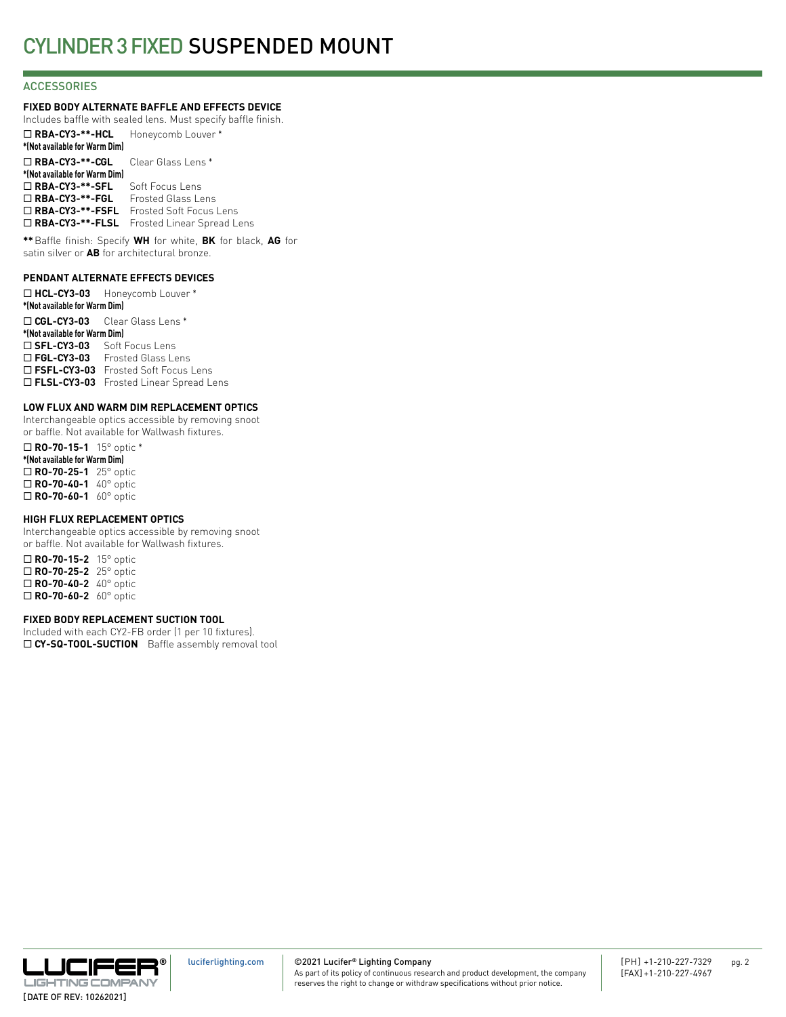## **ACCESSORIES**

## **FIXED BODY ALTERNATE BAFFLE AND EFFECTS DEVICE**

Includes baffle with sealed lens. Must specify baffle finish. ¨ **RBA-CY3-\*\*-HCL** Honeycomb Louver \* **\*(Not available for Warm Dim)** ¨ **RBA-CY3-\*\*-CGL** Clear Glass Lens \* **\*(Not available for Warm Dim)** □ RBA-CY3-\*\*-SFL Soft Focus Lens ¨ **RBA-CY3-\*\*-FGL** Frosted Glass Lens ¨ **RBA-CY3-\*\*-FSFL** Frosted Soft Focus Lens □ RBA-CY3-\*\*-FLSL Frosted Linear Spread Lens

**\*\***Baffle finish: Specify **WH** for white, **BK** for black, **AG** for satin silver or **AB** for architectural bronze.

#### **PENDANT ALTERNATE EFFECTS DEVICES**

¨ **HCL-CY3-03** Honeycomb Louver \* **\*(Not available for Warm Dim)** ¨ **CGL-CY3-03** Clear Glass Lens \* **\*(Not available for Warm Dim)** □ SFL-CY3-03 Soft Focus Lens □ FGL-CY3-03 Frosted Glass Lens □ FSFL-CY3-03 Frosted Soft Focus Lens □ FLSL-CY3-03 Frosted Linear Spread Lens

### **LOW FLUX AND WARM DIM REPLACEMENT OPTICS**

Interchangeable optics accessible by removing snoot or baffle. Not available for Wallwash fixtures.

¨ **RO-70-15-1** 15° optic \* **\*(Not available for Warm Dim)** ¨ **RO-70-25-1** 25° optic □ **RO-70-40-1** 40° optic □ **RO-70-60-1** 60° optic

#### **HIGH FLUX REPLACEMENT OPTICS**

Interchangeable optics accessible by removing snoot or baffle. Not available for Wallwash fixtures.

□ **RO-70-15-2** 15° optic ¨ **RO-70-25-2** 25° optic ¨ **RO-70-40-2** 40° optic ¨ **RO-70-60-2** 60° optic

#### **FIXED BODY REPLACEMENT SUCTION TOOL**

Included with each CY2-FB order (1 per 10 fixtures). □ CY-SQ-TOOL-SUCTION Baffle assembly removal tool

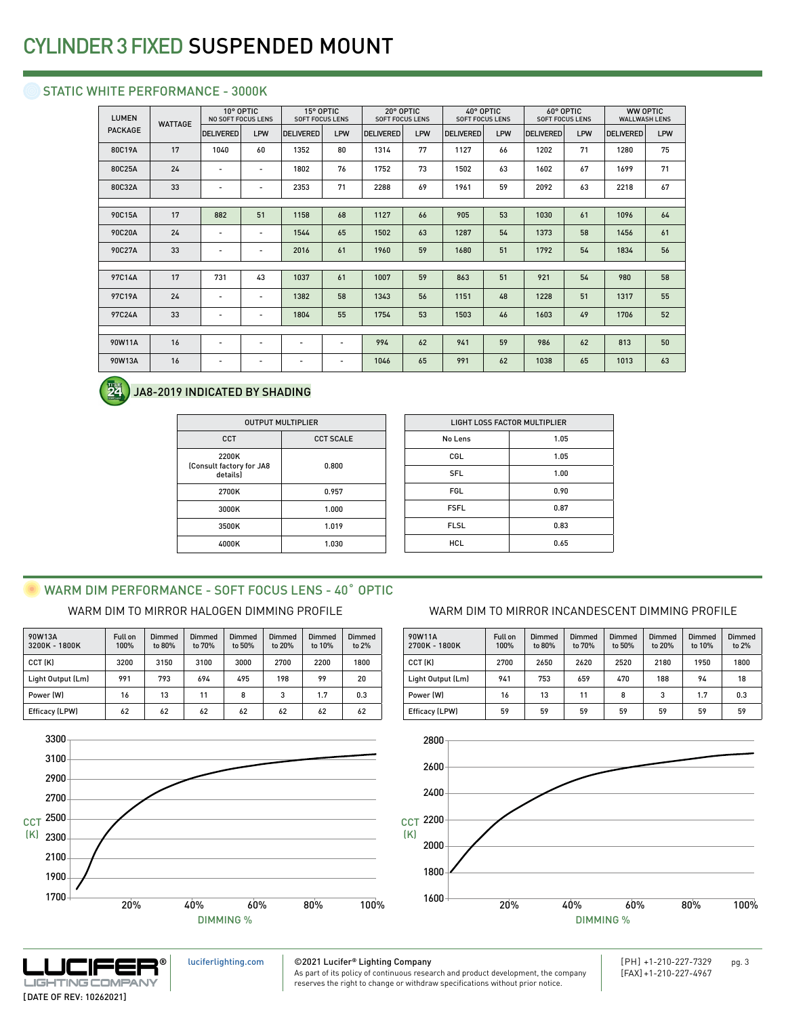## STATIC WHITE PERFORMANCE - 3000K

| <b>LUMEN</b>   | <b>WATTAGE</b> |                          | 10° OPTIC<br><b>NO SOFT FOCUS LENS</b> |                          | 15° OPTIC<br><b>SOFT FOCUS LENS</b> |                  | 20° OPTIC<br><b>SOFT FOCUS LENS</b> |                  | 40° OPTIC<br><b>SOFT FOCUS LENS</b> |                  | 60° OPTIC<br><b>SOFT FOCUS LENS</b> |                  | WW OPTIC<br><b>WALLWASH LENS</b> |  |
|----------------|----------------|--------------------------|----------------------------------------|--------------------------|-------------------------------------|------------------|-------------------------------------|------------------|-------------------------------------|------------------|-------------------------------------|------------------|----------------------------------|--|
| <b>PACKAGE</b> |                | <b>DELIVERED</b>         | LPW                                    | <b>DELIVERED</b>         | LPW                                 | <b>DELIVERED</b> | LPW                                 | <b>DELIVERED</b> | LPW                                 | <b>DELIVERED</b> | LPW                                 | <b>DELIVERED</b> | LPW                              |  |
| 80C19A         | 17             | 1040                     | 60                                     | 1352                     | 80                                  | 1314             | 77                                  | 1127             | 66                                  | 1202             | 71                                  | 1280             | 75                               |  |
| 80C25A         | 24             | $\overline{\phantom{a}}$ | $\overline{\phantom{a}}$               | 1802                     | 76                                  | 1752             | 73                                  | 1502             | 63                                  | 1602             | 67                                  | 1699             | 71                               |  |
| 80C32A         | 33             | $\overline{\phantom{a}}$ | $\overline{\phantom{a}}$               | 2353                     | 71                                  | 2288             | 69                                  | 1961             | 59                                  | 2092             | 63                                  | 2218             | 67                               |  |
|                |                |                          |                                        |                          |                                     |                  |                                     |                  |                                     |                  |                                     |                  |                                  |  |
| 90C15A         | 17             | 882                      | 51                                     | 1158                     | 68                                  | 1127             | 66                                  | 905              | 53                                  | 1030             | 61                                  | 1096             | 64                               |  |
| 90C20A         | 24             | $\overline{\phantom{a}}$ | $\overline{\phantom{a}}$               | 1544                     | 65                                  | 1502             | 63                                  | 1287             | 54                                  | 1373             | 58                                  | 1456             | 61                               |  |
| 90C27A         | 33             | $\overline{\phantom{a}}$ | $\overline{\phantom{a}}$               | 2016                     | 61                                  | 1960             | 59                                  | 1680             | 51                                  | 1792             | 54                                  | 1834             | 56                               |  |
|                |                |                          |                                        |                          |                                     |                  |                                     |                  |                                     |                  |                                     |                  |                                  |  |
| 97C14A         | 17             | 731                      | 43                                     | 1037                     | 61                                  | 1007             | 59                                  | 863              | 51                                  | 921              | 54                                  | 980              | 58                               |  |
| 97C19A         | 24             | $\overline{\phantom{a}}$ | $\overline{\phantom{a}}$               | 1382                     | 58                                  | 1343             | 56                                  | 1151             | 48                                  | 1228             | 51                                  | 1317             | 55                               |  |
| 97C24A         | 33             | $\overline{\phantom{a}}$ | $\overline{\phantom{a}}$               | 1804                     | 55                                  | 1754             | 53                                  | 1503             | 46                                  | 1603             | 49                                  | 1706             | 52                               |  |
|                |                |                          |                                        |                          |                                     |                  |                                     |                  |                                     |                  |                                     |                  |                                  |  |
| 90W11A         | 16             | $\overline{\phantom{a}}$ | $\overline{\phantom{a}}$               | $\overline{\phantom{a}}$ | $\overline{\phantom{a}}$            | 994              | 62                                  | 941              | 59                                  | 986              | 62                                  | 813              | 50                               |  |
| 90W13A         | 16             | $\overline{\phantom{a}}$ | $\overline{\phantom{a}}$               |                          | $\overline{\phantom{0}}$            | 1046             | 65                                  | 991              | 62                                  | 1038             | 65                                  | 1013             | 63                               |  |
|                |                |                          |                                        |                          |                                     |                  |                                     |                  |                                     |                  |                                     |                  |                                  |  |

#### 24 JA8-2019 INDICATED BY SHADING

| <b>OUTPUT MULTIPLIER</b>                      |                  |  |  |  |  |
|-----------------------------------------------|------------------|--|--|--|--|
| CCT                                           | <b>CCT SCALE</b> |  |  |  |  |
| 2200K<br>(Consult factory for JA8<br>details) | 0.800            |  |  |  |  |
| 2700K                                         | 0.957            |  |  |  |  |
| 3000K                                         | 1.000            |  |  |  |  |
| 3500K                                         | 1.019            |  |  |  |  |
| 4000K                                         | 1.030            |  |  |  |  |

| <b>LIGHT LOSS FACTOR MULTIPLIER</b> |      |  |  |  |  |
|-------------------------------------|------|--|--|--|--|
| No Lens                             | 1.05 |  |  |  |  |
| CGL                                 | 1.05 |  |  |  |  |
| <b>SFL</b>                          | 1.00 |  |  |  |  |
| <b>FGL</b>                          | 0.90 |  |  |  |  |
| <b>FSFL</b>                         | 0.87 |  |  |  |  |
| <b>FLSL</b>                         | 0.83 |  |  |  |  |
| <b>HCL</b>                          | 0.65 |  |  |  |  |
|                                     |      |  |  |  |  |

## WARM DIM PERFORMANCE - SOFT FOCUS LENS - 40° OPTIC

| 90W13A<br>3200K - 1800K | Full on<br>100% | Dimmed<br>to 80% | Dimmed<br>to 70% | Dimmed<br>to 50% | Dimmed<br>to 20% | Dimmed<br>to 10% | <b>Dimmed</b><br>to 2% |
|-------------------------|-----------------|------------------|------------------|------------------|------------------|------------------|------------------------|
| CCT (K)                 | 3200            | 3150             | 3100             | 3000             | 2700             | 2200             | 1800                   |
| Light Output (Lm)       | 991             | 793              | 694              | 495              | 198              | 99               | 20                     |
| Power (W)               | 16              | 13               | 11               | 8                | 3                | 1.7              | 0.3                    |
| Efficacy (LPW)          | 62              | 62               | 62               | 62               | 62               | 62               | 62                     |



## WARM DIM TO MIRROR HALOGEN DIMMING PROFILE WARM DIM TO MIRROR INCANDESCENT DIMMING PROFILE

| 90W11A<br>2700K - 1800K | Full on<br>100% | Dimmed<br>to 80% | Dimmed<br>to 70% | Dimmed<br>to 50% | Dimmed<br>to 20% | Dimmed<br>to 10% | Dimmed<br>to 2% |
|-------------------------|-----------------|------------------|------------------|------------------|------------------|------------------|-----------------|
| CCT (K)                 | 2700            | 2650             | 2620             | 2520             | 2180             | 1950             | 1800            |
| Light Output (Lm)       | 941             | 753              | 659              | 470              | 188              | 94               | 18              |
| Power (W)               | 16              | 13               | 11               | 8                | 3                | 1.7              | 0.3             |
| Efficacy (LPW)          | 59              | 59               | 59               | 59               | 59               | 59               | 59              |





©2021 Lucifer**®** Lighting Company [luciferlighting.com](http://luciferlighting.com/)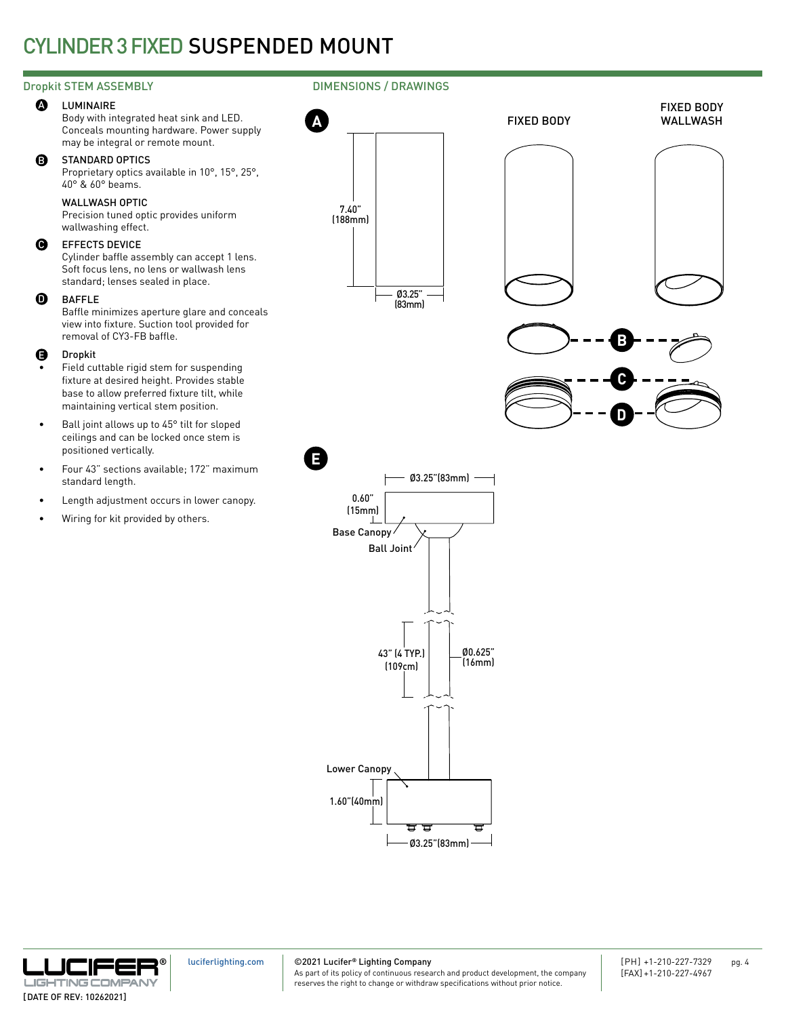#### **A** LUMINAIRE

Body with integrated heat sink and LED. Conceals mounting hardware. Power supply may be integral or remote mount.

#### B STANDARD OPTICS

Proprietary optics available in 10°, 15°, 25°, 40° & 60° beams.

### WALLWASH OPTIC

Precision tuned optic provides uniform wallwashing effect.

#### $\boldsymbol{\Theta}$ EFFECTS DEVICE

Cylinder baffle assembly can accept 1 lens. Soft focus lens, no lens or wallwash lens standard; lenses sealed in place.

#### BAFFLE

Baffle minimizes aperture glare and conceals view into fixture. Suction tool provided for removal of CY3-FB baffle.

#### Dropkit E

- Field cuttable rigid stem for suspending fixture at desired height. Provides stable base to allow preferred fixture tilt, while maintaining vertical stem position.
- Ball joint allows up to 45° tilt for sloped ceilings and can be locked once stem is positioned vertically.
- Four 43" sections available; 172" maximum standard length.
- Length adjustment occurs in lower canopy.
- Wiring for kit provided by others.

## Dropkit STEM ASSEMBLY **DIMENSIONS** / DRAWINGS





0.60" (15mm) Ø3.25"(83mm) Ø0.625" (16mm) Ø3.25"(83mm) 43" (4 TYP.) (109cm) 1.60"(40mm) **E** Ball Joint Base Canopy Lower Canopy



©2021 Lucifer**®** Lighting Company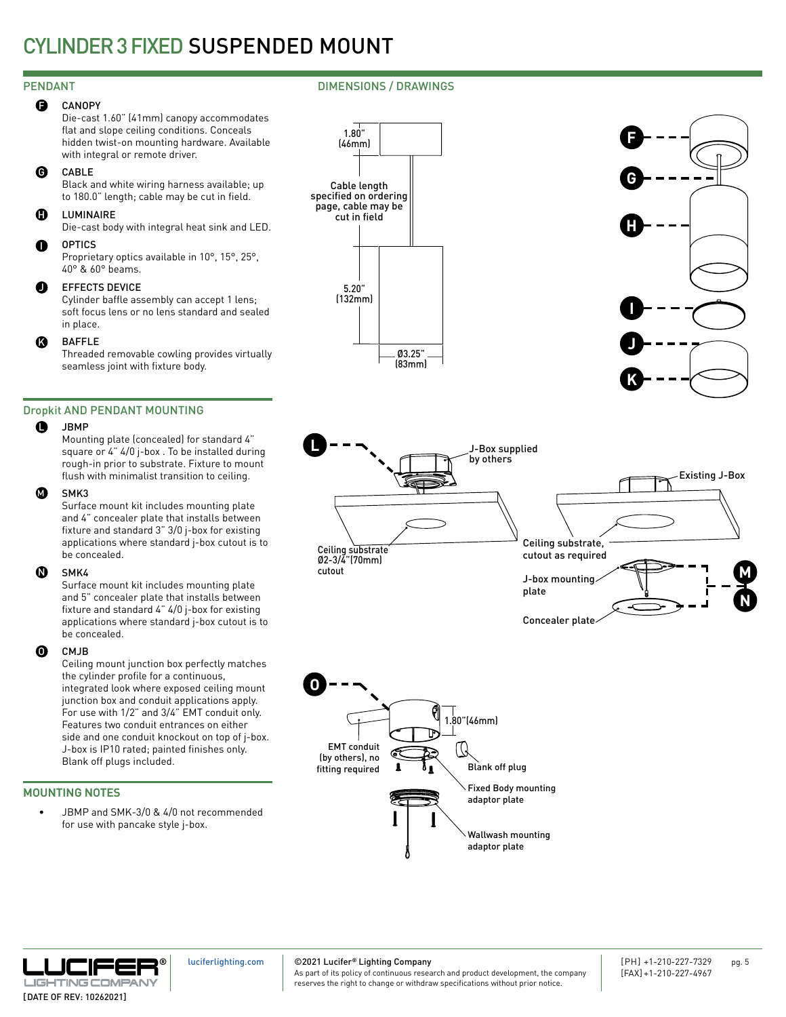#### **CANOPY**  $\mathbf \Theta$

Die-cast 1.60" (41mm) canopy accommodates flat and slope ceiling conditions. Conceals hidden twist-on mounting hardware. Available with integral or remote driver.

#### CABLE G

Black and white wiring harness available; up to 180.0" length; cable may be cut in field.

#### **LUMINAIRE** H

Die-cast body with integral heat sink and LED.

#### **OPTICS**  $\bullet$

Proprietary optics available in 10°, 15°, 25°, 40° & 60° beams.

#### EFFECTS DEVICE  $\bf o$

Cylinder baffle assembly can accept 1 lens; soft focus lens or no lens standard and sealed in place.

#### BAFFLE  $\boldsymbol{\Omega}$

Threaded removable cowling provides virtually seamless joint with fixture body.

## Dropkit AND PENDANT MOUNTING

#### **JBMP**  $\bullet$

Mounting plate (concealed) for standard 4" square or 4" 4/0 j-box . To be installed during rough-in prior to substrate. Fixture to mount flush with minimalist transition to ceiling.

#### SMK3  $\boldsymbol{\Omega}$

Surface mount kit includes mounting plate and 4" concealer plate that installs between fixture and standard 3" 3/0 j-box for existing applications where standard j-box cutout is to be concealed.

#### SMK4  $\boldsymbol{\Phi}$

Surface mount kit includes mounting plate and 5" concealer plate that installs between fixture and standard 4" 4/0 j-box for existing applications where standard j-box cutout is to be concealed.

#### CMJB O

Ceiling mount junction box perfectly matches the cylinder profile for a continuous, integrated look where exposed ceiling mount junction box and conduit applications apply. For use with 1/2" and 3/4" EMT conduit only. Features two conduit entrances on either side and one conduit knockout on top of j-box. J-box is IP10 rated; painted finishes only. Blank off plugs included.

## MOUNTING NOTES

JBMP and SMK-3/0 & 4/0 not recommended for use with pancake style j-box.









Concealer plate





[luciferlighting.com](http://luciferlighting.com/)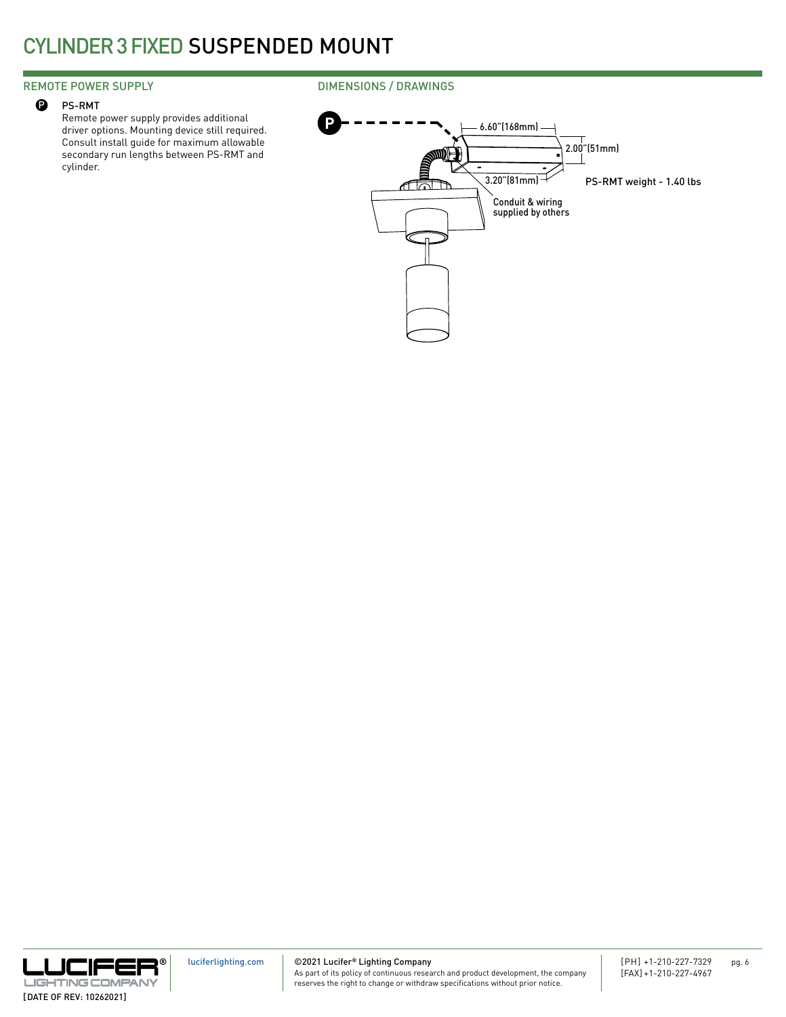### REMOTE POWER SUPPLY

#### PS-RMT  $\mathbf{\Theta}$

Remote power supply provides additional driver options. Mounting device still required. Consult install guide for maximum allowable secondary run lengths between PS-RMT and cylinder.

## DIMENSIONS / DRAWINGS



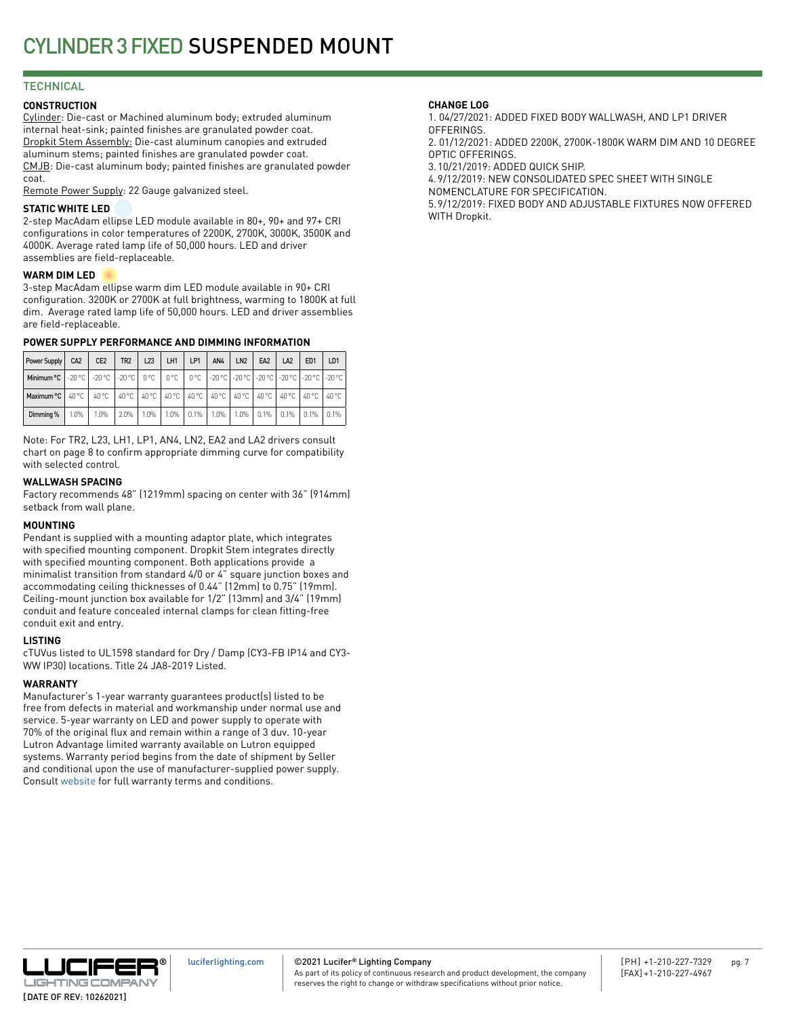## **TECHNICAL**

### **CONSTRUCTION**

Cylinder: Die-cast or Machined aluminum body; extruded aluminum internal heat-sink; painted finishes are granulated powder coat. Dropkit Stem Assembly: Die-cast aluminum canopies and extruded aluminum stems; painted finishes are granulated powder coat. CMJB: Die-cast aluminum body; painted finishes are granulated powder coat.

Remote Power Supply: 22 Gauge galvanized steel.

#### **STATIC WHITE LED**

2-step MacAdam ellipse LED module available in 80+, 90+ and 97+ CRI configurations in color temperatures of 2200K, 2700K, 3000K, 3500K and 4000K. Average rated lamp life of 50,000 hours. LED and driver assemblies are field-replaceable.

#### **WARM DIM LED**

3-step MacAdam ellipse warm dim LED module available in 90+ CRI configuration. 3200K or 2700K at full brightness, warming to 1800K at full dim. Average rated lamp life of 50,000 hours. LED and driver assemblies are field-replaceable.

### **POWER SUPPLY PERFORMANCE AND DIMMING INFORMATION**

| Power Supply                                                                                                     | CA <sub>2</sub> | CE <sub>2</sub> | TR <sub>2</sub>                                                         | L23     | LH1     | LP1      | AN4  | LN <sub>2</sub> | EA <sub>2</sub> | LA <sub>2</sub> | ED <sub>1</sub> | LD <sub>1</sub> |
|------------------------------------------------------------------------------------------------------------------|-----------------|-----------------|-------------------------------------------------------------------------|---------|---------|----------|------|-----------------|-----------------|-----------------|-----------------|-----------------|
| Minimum °C   -20 °C   -20 °C   -20 °C   0 °C   0 °C   0 °C   -20 °C   -20 °C   -20 °C   -20 °C   -20 °C   -20 °C |                 |                 |                                                                         |         |         |          |      |                 |                 |                 |                 |                 |
| Maximum °C   40 °C                                                                                               |                 | 40 °C           | 1 40 °C   40 °C   40 °C   40 °C   40 °C   40 °C   40 °C   40 °C   40 °C |         |         |          |      |                 |                 |                 |                 | 40 °C           |
| Dimming %                                                                                                        | 1.0%            | 1.0%            | $2.0\%$                                                                 | $1.0\%$ | $1.0\%$ | $10.1\%$ | 1.0% |                 | $1.0\%$ 0.1%    | 10.1%           | $0.1\%$         | 0.1%            |

Note: For TR2, L23, LH1, LP1, AN4, LN2, EA2 and LA2 drivers consult chart on page 8 to confirm appropriate dimming curve for compatibility with selected control.

#### **WALLWASH SPACING**

Factory recommends 48" (1219mm) spacing on center with 36" (914mm) setback from wall plane.

#### **MOUNTING**

Pendant is supplied with a mounting adaptor plate, which integrates with specified mounting component. Dropkit Stem integrates directly with specified mounting component. Both applications provide a minimalist transition from standard 4/0 or 4" square junction boxes and accommodating ceiling thicknesses of 0.44" (12mm) to 0.75" (19mm). Ceiling-mount junction box available for 1/2" (13mm) and 3/4" (19mm) conduit and feature concealed internal clamps for clean fitting-free conduit exit and entry.

#### **LISTING**

cTUVus listed to UL1598 standard for Dry / Damp (CY3-FB IP14 and CY3- WW IP30) locations. Title 24 JA8-2019 Listed.

#### **WARRANTY**

Manufacturer's 1-year warranty guarantees product(s) listed to be free from defects in material and workmanship under normal use and service. 5-year warranty on LED and power supply to operate with 70% of the original flux and remain within a range of 3 duv. 10-year Lutron Advantage limited warranty available on Lutron equipped systems. Warranty period begins from the date of shipment by Seller and conditional upon the use of manufacturer-supplied power supply. Consult [website](http://luciferlighting.com/Resources/Full-Warranty) for full warranty terms and conditions.

#### **CHANGE LOG**

1. 04/27/2021: ADDED FIXED BODY WALLWASH, AND LP1 DRIVER **OFFERINGS** 

2. 01/12/2021: ADDED 2200K, 2700K-1800K WARM DIM AND 10 DEGREE OPTIC OFFERINGS.

3.10/21/2019: ADDED QUICK SHIP.

4.9/12/2019: NEW CONSOLIDATED SPEC SHEET WITH SINGLE NOMENCLATURE FOR SPECIFICATION.

5.9/12/2019: FIXED BODY AND ADJUSTABLE FIXTURES NOW OFFERED WITH Dropkit.



©2021 Lucifer**®** Lighting Company